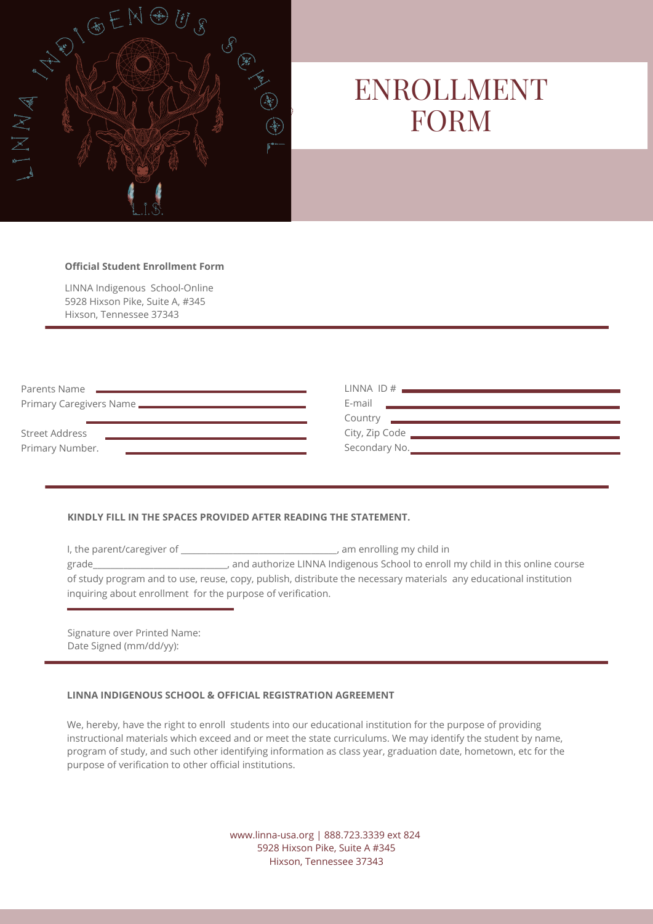

# ENROLLMENT FORM

#### **Official Student Enrollment Form**

LINNA Indigenous School-Online 5928 Hixson Pike, Suite A, #345 Hixson, Tennessee 37343

| Parents Name                                                                                                                                                                                                                         |                                                                                                                                                                                                     |
|--------------------------------------------------------------------------------------------------------------------------------------------------------------------------------------------------------------------------------------|-----------------------------------------------------------------------------------------------------------------------------------------------------------------------------------------------------|
| Primary Caregivers Name <b>Contract Contract Contract Contract Contract Contract Contract Contract Contract Contract Contract Contract Contract Contract Contract Contract Contract Contract Contract Contract Contract Contract</b> | E-mail<br><u> 1988 - Andrea Stadt Britain, amerikansk fotograf i stadt fotograf i stadt fotograf i stadt fotograf i stadt f</u>                                                                     |
|                                                                                                                                                                                                                                      | Country <b>Country</b> Country <b>Country Country Country Country Country Country Country Country Country Country Country Country Country Country Country Country Country Country Country Count</b> |
| Street Address                                                                                                                                                                                                                       | City, Zip Code                                                                                                                                                                                      |
| Primary Number.<br><u> 1989 - Andrea Stadt Britain, amerikansk politiker (</u>                                                                                                                                                       |                                                                                                                                                                                                     |

## **KINDLY FILL IN THE SPACES PROVIDED AFTER READING THE STATEMENT.**

I, the parent/caregiver of \_\_\_\_\_\_\_\_\_\_\_\_\_\_\_\_\_\_\_\_\_\_\_\_\_\_\_\_\_\_\_\_\_\_, am enrolling my child in grade\_\_\_\_\_\_\_\_\_\_\_\_\_\_\_\_\_\_\_\_\_\_\_\_\_\_\_\_\_\_\_, and authorize LINNA Indigenous School to enroll my child in this online course of study program and to use, reuse, copy, publish, distribute the necessary materials any educational institution inquiring about enrollment for the purpose of verification.

Signature over Printed Name: Date Signed (mm/dd/yy):

## **LINNA INDIGENOUS SCHOOL & OFFICIAL REGISTRATION AGREEMENT**

We, hereby, have the right to enroll students into our educational institution for the purpose of providing instructional materials which exceed and or meet the state curriculums. We may identify the student by name, program of study, and such other identifying information as class year, graduation date, hometown, etc for the purpose of verification to other official institutions.

> www.linna-usa.org | 888.723.3339 ext 824 5928 Hixson Pike, Suite A #345 Hixson, Tennessee 37343